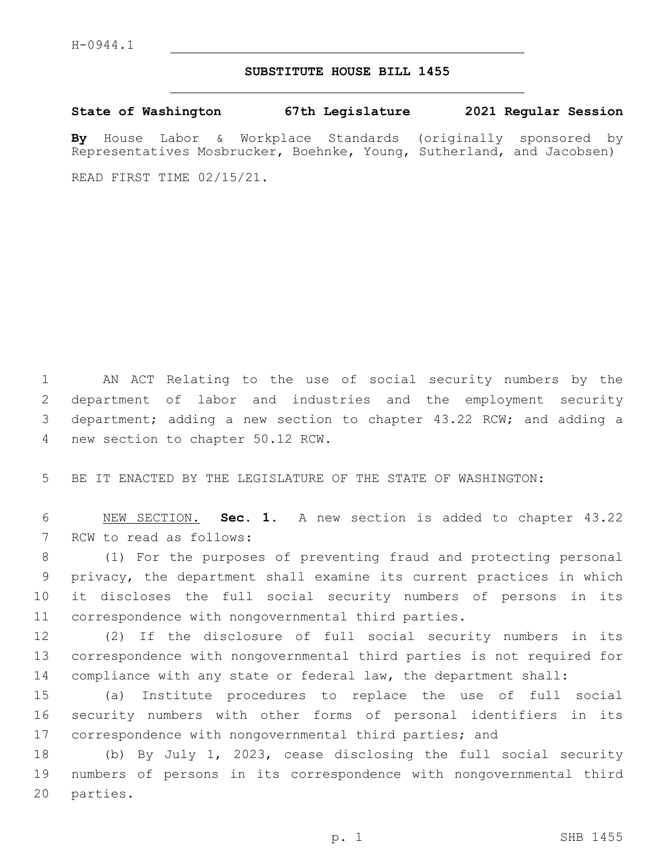## **SUBSTITUTE HOUSE BILL 1455**

**State of Washington 67th Legislature 2021 Regular Session By** House Labor & Workplace Standards (originally sponsored by Representatives Mosbrucker, Boehnke, Young, Sutherland, and Jacobsen)

READ FIRST TIME 02/15/21.

 AN ACT Relating to the use of social security numbers by the department of labor and industries and the employment security department; adding a new section to chapter 43.22 RCW; and adding a 4 new section to chapter 50.12 RCW.

5 BE IT ENACTED BY THE LEGISLATURE OF THE STATE OF WASHINGTON:

6 NEW SECTION. **Sec. 1.** A new section is added to chapter 43.22 7 RCW to read as follows:

 (1) For the purposes of preventing fraud and protecting personal privacy, the department shall examine its current practices in which it discloses the full social security numbers of persons in its correspondence with nongovernmental third parties.

12 (2) If the disclosure of full social security numbers in its 13 correspondence with nongovernmental third parties is not required for 14 compliance with any state or federal law, the department shall:

15 (a) Institute procedures to replace the use of full social 16 security numbers with other forms of personal identifiers in its 17 correspondence with nongovernmental third parties; and

18 (b) By July 1, 2023, cease disclosing the full social security 19 numbers of persons in its correspondence with nongovernmental third 20 parties.